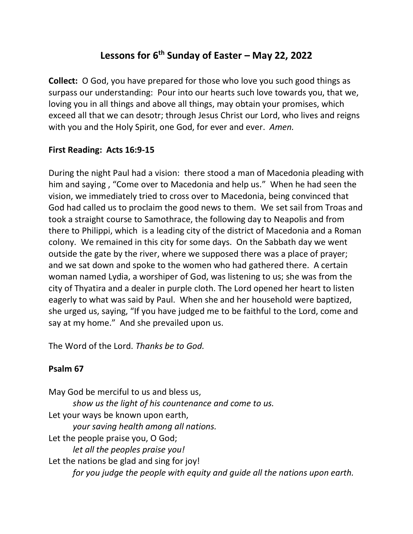# **Lessons for 6th Sunday of Easter – May 22, 2022**

**Collect:** O God, you have prepared for those who love you such good things as surpass our understanding: Pour into our hearts such love towards you, that we, loving you in all things and above all things, may obtain your promises, which exceed all that we can desotr; through Jesus Christ our Lord, who lives and reigns with you and the Holy Spirit, one God, for ever and ever. *Amen.*

## **First Reading: Acts 16:9-15**

During the night Paul had a vision: there stood a man of Macedonia pleading with him and saying , "Come over to Macedonia and help us." When he had seen the vision, we immediately tried to cross over to Macedonia, being convinced that God had called us to proclaim the good news to them. We set sail from Troas and took a straight course to Samothrace, the following day to Neapolis and from there to Philippi, which is a leading city of the district of Macedonia and a Roman colony. We remained in this city for some days. On the Sabbath day we went outside the gate by the river, where we supposed there was a place of prayer; and we sat down and spoke to the women who had gathered there. A certain woman named Lydia, a worshiper of God, was listening to us; she was from the city of Thyatira and a dealer in purple cloth. The Lord opened her heart to listen eagerly to what was said by Paul. When she and her household were baptized, she urged us, saying, "If you have judged me to be faithful to the Lord, come and say at my home." And she prevailed upon us.

The Word of the Lord. *Thanks be to God.*

## **Psalm 67**

May God be merciful to us and bless us, *show us the light of his countenance and come to us.* Let your ways be known upon earth, *your saving health among all nations.* Let the people praise you, O God; *let all the peoples praise you!* Let the nations be glad and sing for joy! *for you judge the people with equity and guide all the nations upon earth.*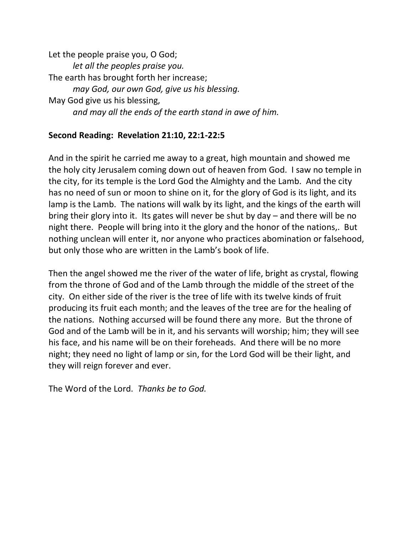Let the people praise you, O God; *let all the peoples praise you.* The earth has brought forth her increase; *may God, our own God, give us his blessing.* May God give us his blessing, *and may all the ends of the earth stand in awe of him.*

## **Second Reading: Revelation 21:10, 22:1-22:5**

And in the spirit he carried me away to a great, high mountain and showed me the holy city Jerusalem coming down out of heaven from God. I saw no temple in the city, for its temple is the Lord God the Almighty and the Lamb. And the city has no need of sun or moon to shine on it, for the glory of God is its light, and its lamp is the Lamb. The nations will walk by its light, and the kings of the earth will bring their glory into it. Its gates will never be shut by day – and there will be no night there. People will bring into it the glory and the honor of the nations,. But nothing unclean will enter it, nor anyone who practices abomination or falsehood, but only those who are written in the Lamb's book of life.

Then the angel showed me the river of the water of life, bright as crystal, flowing from the throne of God and of the Lamb through the middle of the street of the city. On either side of the river is the tree of life with its twelve kinds of fruit producing its fruit each month; and the leaves of the tree are for the healing of the nations. Nothing accursed will be found there any more. But the throne of God and of the Lamb will be in it, and his servants will worship; him; they will see his face, and his name will be on their foreheads. And there will be no more night; they need no light of lamp or sin, for the Lord God will be their light, and they will reign forever and ever.

The Word of the Lord. *Thanks be to God.*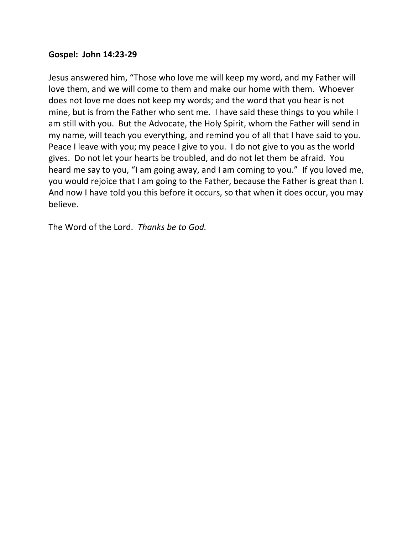### **Gospel: John 14:23-29**

Jesus answered him, "Those who love me will keep my word, and my Father will love them, and we will come to them and make our home with them. Whoever does not love me does not keep my words; and the word that you hear is not mine, but is from the Father who sent me. I have said these things to you while I am still with you. But the Advocate, the Holy Spirit, whom the Father will send in my name, will teach you everything, and remind you of all that I have said to you. Peace I leave with you; my peace I give to you. I do not give to you as the world gives. Do not let your hearts be troubled, and do not let them be afraid. You heard me say to you, "I am going away, and I am coming to you." If you loved me, you would rejoice that I am going to the Father, because the Father is great than I. And now I have told you this before it occurs, so that when it does occur, you may believe.

The Word of the Lord. *Thanks be to God.*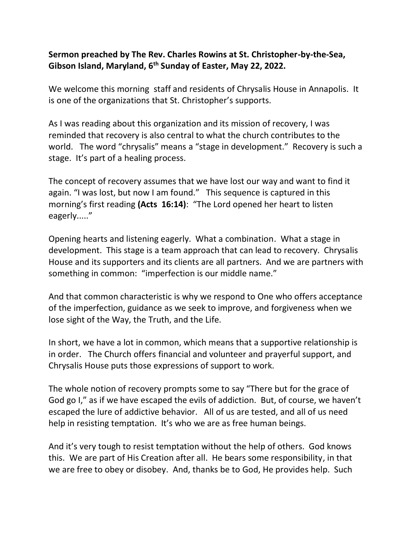## **Sermon preached by The Rev. Charles Rowins at St. Christopher-by-the-Sea, Gibson Island, Maryland, 6th Sunday of Easter, May 22, 2022.**

We welcome this morning staff and residents of Chrysalis House in Annapolis. It is one of the organizations that St. Christopher's supports.

As I was reading about this organization and its mission of recovery, I was reminded that recovery is also central to what the church contributes to the world. The word "chrysalis" means a "stage in development." Recovery is such a stage. It's part of a healing process.

The concept of recovery assumes that we have lost our way and want to find it again. "I was lost, but now I am found." This sequence is captured in this morning's first reading **(Acts 16:14)**: "The Lord opened her heart to listen eagerly....."

Opening hearts and listening eagerly. What a combination. What a stage in development. This stage is a team approach that can lead to recovery. Chrysalis House and its supporters and its clients are all partners. And we are partners with something in common: "imperfection is our middle name."

And that common characteristic is why we respond to One who offers acceptance of the imperfection, guidance as we seek to improve, and forgiveness when we lose sight of the Way, the Truth, and the Life.

In short, we have a lot in common, which means that a supportive relationship is in order. The Church offers financial and volunteer and prayerful support, and Chrysalis House puts those expressions of support to work.

The whole notion of recovery prompts some to say "There but for the grace of God go I," as if we have escaped the evils of addiction. But, of course, we haven't escaped the lure of addictive behavior. All of us are tested, and all of us need help in resisting temptation. It's who we are as free human beings.

And it's very tough to resist temptation without the help of others. God knows this. We are part of His Creation after all. He bears some responsibility, in that we are free to obey or disobey. And, thanks be to God, He provides help. Such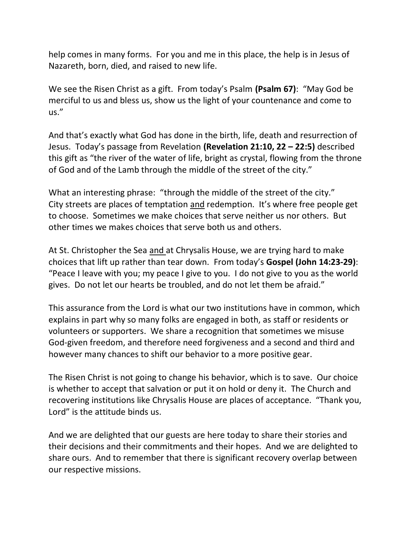help comes in many forms. For you and me in this place, the help is in Jesus of Nazareth, born, died, and raised to new life.

We see the Risen Christ as a gift. From today's Psalm **(Psalm 67)**: "May God be merciful to us and bless us, show us the light of your countenance and come to us."

And that's exactly what God has done in the birth, life, death and resurrection of Jesus. Today's passage from Revelation **(Revelation 21:10, 22 – 22:5)** described this gift as "the river of the water of life, bright as crystal, flowing from the throne of God and of the Lamb through the middle of the street of the city."

What an interesting phrase: "through the middle of the street of the city." City streets are places of temptation and redemption. It's where free people get to choose. Sometimes we make choices that serve neither us nor others. But other times we makes choices that serve both us and others.

At St. Christopher the Sea and at Chrysalis House, we are trying hard to make choices that lift up rather than tear down. From today's **Gospel (John 14:23-29)**: "Peace I leave with you; my peace I give to you. I do not give to you as the world gives. Do not let our hearts be troubled, and do not let them be afraid."

This assurance from the Lord is what our two institutions have in common, which explains in part why so many folks are engaged in both, as staff or residents or volunteers or supporters. We share a recognition that sometimes we misuse God-given freedom, and therefore need forgiveness and a second and third and however many chances to shift our behavior to a more positive gear.

The Risen Christ is not going to change his behavior, which is to save. Our choice is whether to accept that salvation or put it on hold or deny it. The Church and recovering institutions like Chrysalis House are places of acceptance. "Thank you, Lord" is the attitude binds us.

And we are delighted that our guests are here today to share their stories and their decisions and their commitments and their hopes. And we are delighted to share ours. And to remember that there is significant recovery overlap between our respective missions.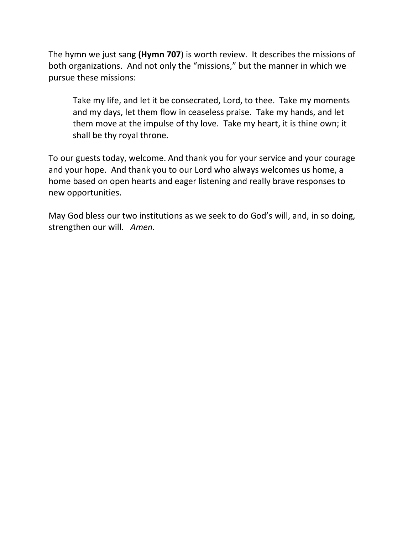The hymn we just sang **(Hymn 707**) is worth review. It describes the missions of both organizations. And not only the "missions," but the manner in which we pursue these missions:

Take my life, and let it be consecrated, Lord, to thee. Take my moments and my days, let them flow in ceaseless praise. Take my hands, and let them move at the impulse of thy love. Take my heart, it is thine own; it shall be thy royal throne.

To our guests today, welcome. And thank you for your service and your courage and your hope. And thank you to our Lord who always welcomes us home, a home based on open hearts and eager listening and really brave responses to new opportunities.

May God bless our two institutions as we seek to do God's will, and, in so doing, strengthen our will. *Amen.*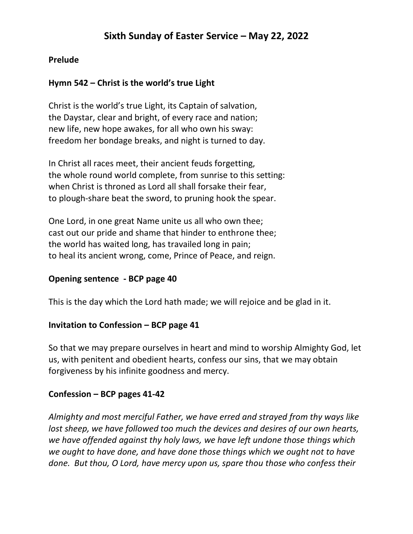## **Prelude**

## **Hymn 542 – Christ is the world's true Light**

Christ is the world's true Light, its Captain of salvation, the Daystar, clear and bright, of every race and nation; new life, new hope awakes, for all who own his sway: freedom her bondage breaks, and night is turned to day.

In Christ all races meet, their ancient feuds forgetting, the whole round world complete, from sunrise to this setting: when Christ is throned as Lord all shall forsake their fear, to plough-share beat the sword, to pruning hook the spear.

One Lord, in one great Name unite us all who own thee; cast out our pride and shame that hinder to enthrone thee; the world has waited long, has travailed long in pain; to heal its ancient wrong, come, Prince of Peace, and reign.

## **Opening sentence - BCP page 40**

This is the day which the Lord hath made; we will rejoice and be glad in it.

#### **Invitation to Confession – BCP page 41**

So that we may prepare ourselves in heart and mind to worship Almighty God, let us, with penitent and obedient hearts, confess our sins, that we may obtain forgiveness by his infinite goodness and mercy.

#### **Confession – BCP pages 41-42**

*Almighty and most merciful Father, we have erred and strayed from thy ways like lost sheep, we have followed too much the devices and desires of our own hearts, we have offended against thy holy laws, we have left undone those things which we ought to have done, and have done those things which we ought not to have done. But thou, O Lord, have mercy upon us, spare thou those who confess their*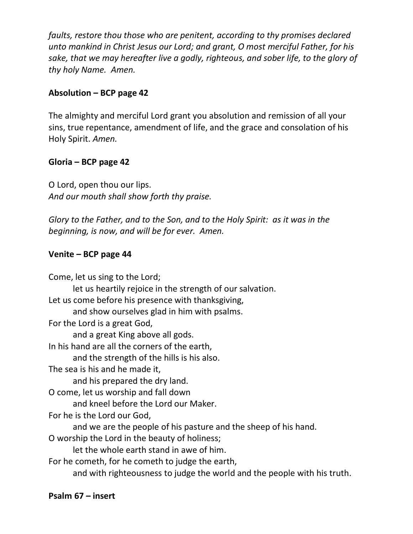*faults, restore thou those who are penitent, according to thy promises declared unto mankind in Christ Jesus our Lord; and grant, O most merciful Father, for his sake, that we may hereafter live a godly, righteous, and sober life, to the glory of thy holy Name. Amen.*

## **Absolution – BCP page 42**

The almighty and merciful Lord grant you absolution and remission of all your sins, true repentance, amendment of life, and the grace and consolation of his Holy Spirit. *Amen.*

## **Gloria – BCP page 42**

O Lord, open thou our lips. *And our mouth shall show forth thy praise.*

*Glory to the Father, and to the Son, and to the Holy Spirit: as it was in the beginning, is now, and will be for ever. Amen.*

## **Venite – BCP page 44**

Come, let us sing to the Lord; let us heartily rejoice in the strength of our salvation. Let us come before his presence with thanksgiving, and show ourselves glad in him with psalms. For the Lord is a great God, and a great King above all gods. In his hand are all the corners of the earth, and the strength of the hills is his also. The sea is his and he made it, and his prepared the dry land. O come, let us worship and fall down and kneel before the Lord our Maker. For he is the Lord our God, and we are the people of his pasture and the sheep of his hand. O worship the Lord in the beauty of holiness; let the whole earth stand in awe of him. For he cometh, for he cometh to judge the earth, and with righteousness to judge the world and the people with his truth.

## **Psalm 67 – insert**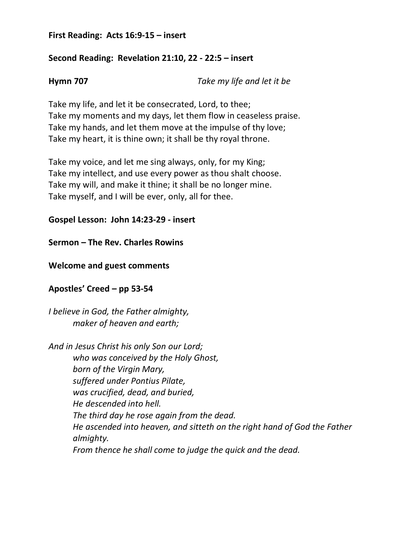#### **First Reading: Acts 16:9-15 – insert**

## **Second Reading: Revelation 21:10, 22 - 22:5 – insert**

**Hymn 707** *Take my life and let it be*

Take my life, and let it be consecrated, Lord, to thee; Take my moments and my days, let them flow in ceaseless praise. Take my hands, and let them move at the impulse of thy love; Take my heart, it is thine own; it shall be thy royal throne.

Take my voice, and let me sing always, only, for my King; Take my intellect, and use every power as thou shalt choose. Take my will, and make it thine; it shall be no longer mine. Take myself, and I will be ever, only, all for thee.

**Gospel Lesson: John 14:23-29 - insert** 

**Sermon – The Rev. Charles Rowins**

**Welcome and guest comments** 

**Apostles' Creed – pp 53-54**

*I believe in God, the Father almighty, maker of heaven and earth;*

*And in Jesus Christ his only Son our Lord; who was conceived by the Holy Ghost, born of the Virgin Mary, suffered under Pontius Pilate, was crucified, dead, and buried, He descended into hell. The third day he rose again from the dead. He ascended into heaven, and sitteth on the right hand of God the Father almighty. From thence he shall come to judge the quick and the dead.*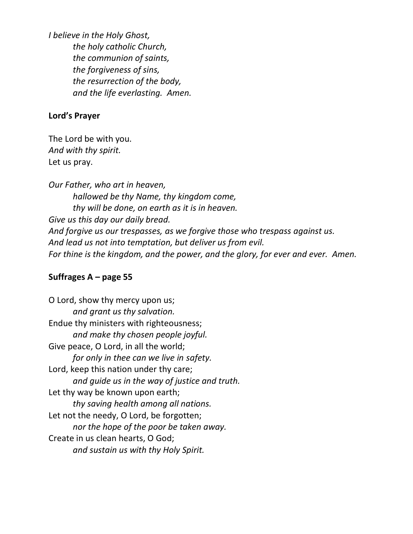*I believe in the Holy Ghost, the holy catholic Church, the communion of saints, the forgiveness of sins, the resurrection of the body, and the life everlasting. Amen.*

#### **Lord's Prayer**

The Lord be with you. *And with thy spirit.* Let us pray.

*Our Father, who art in heaven, hallowed be thy Name, thy kingdom come, thy will be done, on earth as it is in heaven. Give us this day our daily bread. And forgive us our trespasses, as we forgive those who trespass against us. And lead us not into temptation, but deliver us from evil. For thine is the kingdom, and the power, and the glory, for ever and ever. Amen.*

#### **Suffrages A – page 55**

O Lord, show thy mercy upon us; *and grant us thy salvation.* Endue thy ministers with righteousness; *and make thy chosen people joyful.* Give peace, O Lord, in all the world; *for only in thee can we live in safety.* Lord, keep this nation under thy care; *and guide us in the way of justice and truth.* Let thy way be known upon earth; *thy saving health among all nations.* Let not the needy, O Lord, be forgotten; *nor the hope of the poor be taken away.* Create in us clean hearts, O God; *and sustain us with thy Holy Spirit.*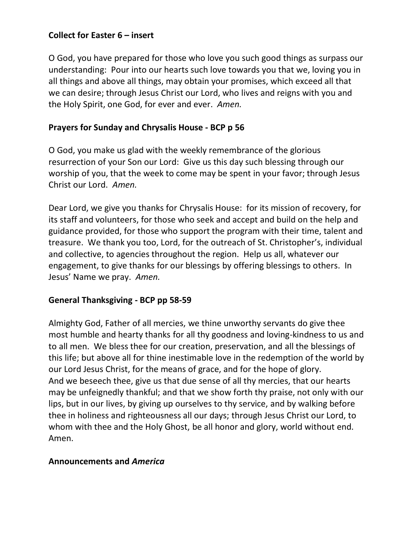## **Collect for Easter 6 – insert**

O God, you have prepared for those who love you such good things as surpass our understanding: Pour into our hearts such love towards you that we, loving you in all things and above all things, may obtain your promises, which exceed all that we can desire; through Jesus Christ our Lord, who lives and reigns with you and the Holy Spirit, one God, for ever and ever. *Amen.*

## **Prayers for Sunday and Chrysalis House - BCP p 56**

O God, you make us glad with the weekly remembrance of the glorious resurrection of your Son our Lord: Give us this day such blessing through our worship of you, that the week to come may be spent in your favor; through Jesus Christ our Lord. *Amen.*

Dear Lord, we give you thanks for Chrysalis House: for its mission of recovery, for its staff and volunteers, for those who seek and accept and build on the help and guidance provided, for those who support the program with their time, talent and treasure. We thank you too, Lord, for the outreach of St. Christopher's, individual and collective, to agencies throughout the region. Help us all, whatever our engagement, to give thanks for our blessings by offering blessings to others. In Jesus' Name we pray. *Amen.*

## **General Thanksgiving - BCP pp 58-59**

Almighty God, Father of all mercies, we thine unworthy servants do give thee most humble and hearty thanks for all thy goodness and loving-kindness to us and to all men. We bless thee for our creation, preservation, and all the blessings of this life; but above all for thine inestimable love in the redemption of the world by our Lord Jesus Christ, for the means of grace, and for the hope of glory. And we beseech thee, give us that due sense of all thy mercies, that our hearts may be unfeignedly thankful; and that we show forth thy praise, not only with our lips, but in our lives, by giving up ourselves to thy service, and by walking before thee in holiness and righteousness all our days; through Jesus Christ our Lord, to whom with thee and the Holy Ghost, be all honor and glory, world without end. Amen.

## **Announcements and** *America*